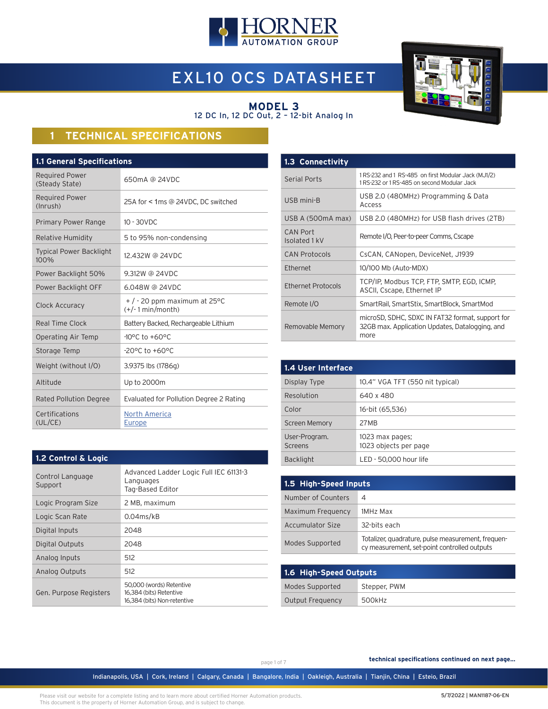

# EXL10 OCS DATASHEET



#### **MODEL 3** 12 DC In, 12 DC Out, 2 – 12-bit Analog In

## **1 TECHNICAL SPECIFICATIONS**

| <b>1.1 General Specifications</b>       |                                                        |  |
|-----------------------------------------|--------------------------------------------------------|--|
| <b>Required Power</b><br>(Steady State) | 650mA @ 24VDC                                          |  |
| <b>Required Power</b><br>(Inrush)       | 25A for < 1ms @ 24VDC, DC switched                     |  |
| Primary Power Range                     | $10 - 30$ VDC                                          |  |
| <b>Relative Humidity</b>                | 5 to 95% non-condensing                                |  |
| <b>Typical Power Backlight</b><br>100%  | 12,432W @ 24VDC                                        |  |
| Power Backlight 50%                     | 9.312W @ 24VDC                                         |  |
| Power Backlight OFF                     | 6.048W @ 24VDC                                         |  |
| Clock Accuracy                          | $+$ / - 20 ppm maximum at 25 °C<br>$(+/- 1 min/month)$ |  |
| Real Time Clock                         | Battery Backed, Rechargeable Lithium                   |  |
| Operating Air Temp                      | $-10^{\circ}$ C to $+60^{\circ}$ C                     |  |
| Storage Temp                            | -20°C to +60°C                                         |  |
| Weight (without I/O)                    | 3.9375 lbs (1786g)                                     |  |
| Altitude                                | Up to 2000m                                            |  |
| <b>Rated Pollution Degree</b>           | Evaluated for Pollution Degree 2 Rating                |  |
| Certifications<br>(UL/CE)               | North America<br><b>Europe</b>                         |  |

| 1.3 Connectivity                 |                                                                                                             |
|----------------------------------|-------------------------------------------------------------------------------------------------------------|
| <b>Serial Ports</b>              | 1RS-232 and 1 RS-485 on first Modular Jack (MJ1/2)<br>1 RS-232 or 1 RS-485 on second Modular Jack           |
| USB mini-B                       | USB 2.0 (480MHz) Programming & Data<br>Access                                                               |
| USB A (500mA max)                | USB 2.0 (480MHz) for USB flash drives (2TB)                                                                 |
| <b>CAN Port</b><br>Isolated 1 kV | Remote I/O, Peer-to-peer Comms, Cscape                                                                      |
| <b>CAN Protocols</b>             | CsCAN, CANopen, DeviceNet, J1939                                                                            |
| Ethernet                         | 10/100 Mb (Auto-MDX)                                                                                        |
| Ethernet Protocols               | TCP/IP, Modbus TCP, FTP, SMTP, EGD, ICMP,<br>ASCII, Cscape, Ethernet IP                                     |
| Remote I/O                       | SmartRail, SmartStix, SmartBlock, SmartMod                                                                  |
| Removable Memory                 | microSD, SDHC, SDXC IN FAT32 format, support for<br>32GB max, Application Updates, Datalogging, and<br>more |

| 1.4 User Interface       |                                          |
|--------------------------|------------------------------------------|
| Display Type             | 10.4" VGA TFT (550 nit typical)          |
| Resolution               | 640 x 480                                |
| Color                    | 16-bit (65,536)                          |
| <b>Screen Memory</b>     | 27MB                                     |
| User-Program.<br>Screens | 1023 max pages;<br>1023 objects per page |
| <b>Backlight</b>         | LED - 50.000 hour life                   |

| 1.5 High-Speed Inputs   |                                                                                                    |  |
|-------------------------|----------------------------------------------------------------------------------------------------|--|
| Number of Counters      | 4                                                                                                  |  |
| Maximum Frequency       | 1MHz Max                                                                                           |  |
| <b>Accumulator Size</b> | 32-bits each                                                                                       |  |
| Modes Supported         | Totalizer, quadrature, pulse measurement, frequen-<br>cy measurement, set-point controlled outputs |  |

| 1.6 High-Speed Outputs |              |  |
|------------------------|--------------|--|
| Modes Supported        | Stepper, PWM |  |
| Output Frequency       | 500kHz       |  |

| $1.4$ value of a logic      |                                                                         |
|-----------------------------|-------------------------------------------------------------------------|
| Control Language<br>Support | Advanced Ladder Logic Full IEC 61131-3<br>Languages<br>Tag-Based Editor |
| Logic Program Size          | 2 MB, maximum                                                           |
| Logic Scan Rate             | $0.04$ ms/kB                                                            |
| Digital Inputs              | 2048                                                                    |
| Digital Outputs             | 2048                                                                    |
| Analog Inputs               | 512                                                                     |
| Analog Outputs              | 512                                                                     |
| Gen. Purpose Registers      | 50,000 (words) Retentive<br>16.384 (bits) Retentive                     |

16,384 (bits) Non-retentive

**1.2 Control & Logic**

page 1 of 7

**technical specifications continued on next page...**

Indianapolis, USA | Cork, Ireland | Calgary, Canada | Bangalore, India | Oakleigh, Australia | Tianjin, China | Esteio, Brazil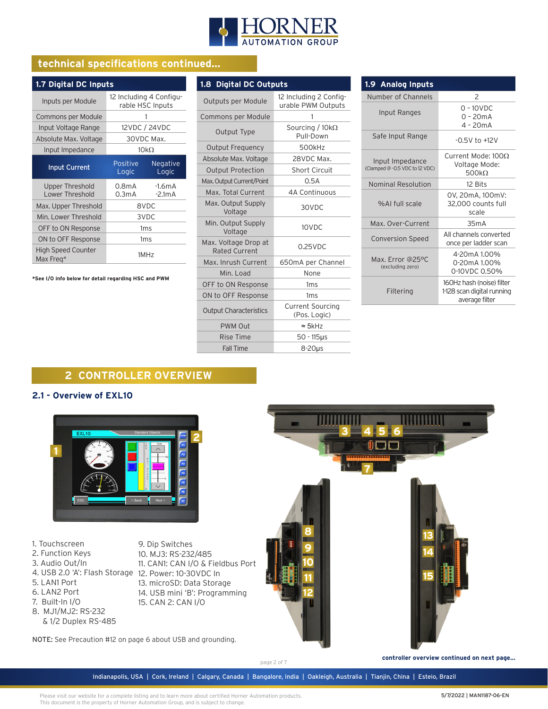

**1.8 Digital DC Outputs** 

## **technical specifications continued...**

| 1.7 Digital DC Inputs                     |                                             |                      |
|-------------------------------------------|---------------------------------------------|----------------------|
| Inputs per Module                         | 12 Including 4 Configu-<br>rable HSC Inputs |                      |
| Commons per Module                        |                                             |                      |
| Input Voltage Range                       |                                             | 12VDC / 24VDC        |
| Absolute Max. Voltage                     |                                             | 30VDC Max.           |
| Input Impedance                           |                                             | $10k\Omega$          |
| <b>Input Current</b>                      | Positive<br>Logic                           | Negative<br>Logic    |
| <b>Upper Threshold</b><br>Lower Threshold | 0.8mA<br>0.3mA                              | $-1.6mA$<br>$-2.1mA$ |
| Max. Upper Threshold                      |                                             | 8VDC                 |
| Min. Lower Threshold                      |                                             | 3VDC                 |
| OFF to ON Response                        |                                             | 1 <sub>ms</sub>      |
| ON to OFF Response                        |                                             | 1 <sub>ms</sub>      |
| <b>High Speed Counter</b><br>Max Freg*    |                                             | 1MHz                 |

**\*See I/O info below for detail regarding HSC and PWM**

| Outputs per Module                           | 12 Including 2 Config-<br>urable PWM Outputs |
|----------------------------------------------|----------------------------------------------|
| Commons per Module                           | 1                                            |
| Output Type                                  | Sourcing / $10k\Omega$<br>Pull-Down          |
| <b>Output Frequency</b>                      | 500kHz                                       |
| Absolute Max. Voltage                        | 28VDC Max.                                   |
| <b>Output Protection</b>                     | <b>Short Circuit</b>                         |
| Max. Output Current/Point                    | 0.5A                                         |
| Max. Total Current                           | 4A Continuous                                |
| Max. Output Supply<br>Voltage                | 30VDC                                        |
| Min. Output Supply<br>Voltage                | 10VDC                                        |
| Max. Voltage Drop at<br><b>Rated Current</b> | $0.25$ VDC                                   |
| Max. Inrush Current                          | 650mA per Channel                            |
| Min. Load                                    | None                                         |
| OFF to ON Response                           | 1 <sub>ms</sub>                              |
| ON to OFF Response                           | 1ms                                          |
| <b>Output Characteristics</b>                | <b>Current Sourcing</b><br>(Pos. Logic)      |
| <b>PWM Out</b>                               | $\approx$ 5kHz                               |
| Rise Time                                    | $50 - 115$ µs                                |
| <b>Fall Time</b>                             | $8-20\mu s$                                  |

| 1.9 Analog Inputs                                |                                                                           |
|--------------------------------------------------|---------------------------------------------------------------------------|
| Number of Channels                               | $\mathcal{P}$                                                             |
| Input Ranges                                     | $0 - 10$ VDC<br>$0 - 20mA$<br>$4 - 20mA$                                  |
| Safe Input Range                                 | $-0.5V$ to $+12V$                                                         |
| Input Impedance<br>(Clamped @-0.5 VDC to 12 VDC) | Current Mode: 1000<br>Voltage Mode:<br>500 $k\Omega$                      |
| Nominal Resolution                               | 12 Bits                                                                   |
| %Al full scale                                   | 0V, 20mA, 100mV:<br>32,000 counts full<br>scale                           |
| Max. Over-Current                                | 35mA                                                                      |
| <b>Conversion Speed</b>                          | All channels converted<br>once per ladder scan                            |
| Max. Error @25°C<br>(excluding zero)             | 4-20mA 1.00%<br>0-20mA 1.00%<br>0-10VDC 0.50%                             |
| Filtering                                        | 160Hz hash (noise) filter<br>1-128 scan digital running<br>average filter |

## **2 CONTROLLER OVERVIEW**

## **2.1 - Overview of EXL10**



1. Touchscreen 2. Function Keys 3. Audio Out/In 5. LAN1 Port 6. LAN2 Port

- 7. Built-In I/O
- 8. MJ1/MJ2: RS-232
- & 1/2 Duplex RS-485

4. USB 2.0 'A': Flash Storage 12. Power: 10-30VDC In 9. Dip Switches 10. MJ3: RS-232/485 11. CAN1: CAN I/O & Fieldbus Port 13. microSD: Data Storage 14. USB mini 'B': Programming 15. CAN 2: CAN I/O



NOTE: See Precaution #12 on page 6 about USB and grounding.

page 2 of 7

**controller overview continued on next page...**

Indianapolis, USA | Cork, Ireland | Calgary, Canada | Bangalore, India | Oakleigh, Australia | Tianjin, China | Esteio, Brazil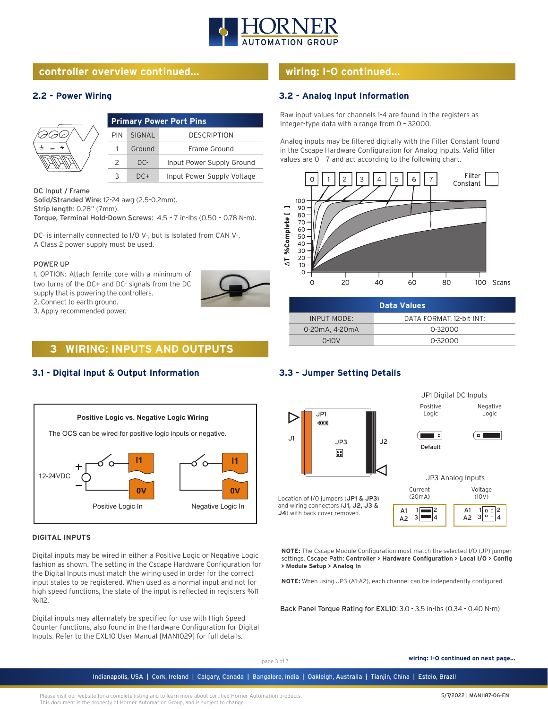

## **controller overview continued... wiring: I-O continued...**

## **2.2 - Power Wiring**

| <b>Primary Power Port Pins</b> |        |                            |
|--------------------------------|--------|----------------------------|
| PIN                            | SIGNAL | <b>DESCRIPTION</b>         |
|                                | Ground | Frame Ground               |
| 2                              | DC-    | Input Power Supply Ground  |
|                                | $DC+$  | Input Power Supply Voltage |

#### DC Input / Frame

Solid/Stranded Wire: 12-24 awg (2.5-0.2mm). Strip length: 0.28" (7mm). Torque, Terminal Hold-Down Screws: 4.5 – 7 in-lbs (0.50 – 0.78 N-m).

DC- is internally connected to I/O V-, but is isolated from CAN V-. A Class 2 power supply must be used.

#### POWER UP

1. OPTION: Attach ferrite core with a minimum of two turns of the DC+ and DC- signals from the DC supply that is powering the controllers. 2. Connect to earth ground.

3. Apply recommended power.



## **3.1 - Digital Input & Output Information**



#### **DIGITAL INPUTS**

Digital inputs may be wired in either a Positive Logic or Negative Logic fashion as shown. The setting in the Cscape Hardware Configuration for the Digital Inputs must match the wiring used in order for the correct input states to be registered. When used as a normal input and not for high speed functions, the state of the input is reflected in registers %I1 – %I12.

Digital inputs may alternately be specified for use with High Speed Counter functions, also found in the Hardware Configuration for Digital Inputs. Refer to the EXL10 User Manual [MAN1029] for full details.

## **3.2 - Analog Input Information**

Raw input values for channels 1-4 are found in the registers as Integer-type data with a range from 0 – 32000.

Analog inputs may be filtered digitally with the Filter Constant found in the Cscape Hardware Configuration for Analog Inputs. Valid filter values are 0 – 7 and act according to the following chart.



| <b>Data Values</b> |                          |  |
|--------------------|--------------------------|--|
| <b>INPUT MODE:</b> | DATA FORMAT. 12-bit INT: |  |
| 0-20mA, 4-20mA     | 0-32000                  |  |
| $0-10V$            | 0-32000                  |  |

## **3.3 - Jumper Setting Details**



**NOTE:** The Cscape Module Configuration must match the selected I/O (JP) jumper settings. Cscape Path: **Controller > Hardware Configuration > Local I/O > Config > Module Setup > Analog In**

**NOTE:** When using JP3 (A1-A2), each channel can be independently configured.

Back Panel Torque Rating for EXL10: 3.0 - 3.5 in-lbs (0.34 - 0.40 N-m)

page 3 of 7 **wiring: I-O continued on next page...**

Indianapolis, USA | Cork, Ireland | Calgary, Canada | Bangalore, India | Oakleigh, Australia | Tianjin, China | Esteio, Brazil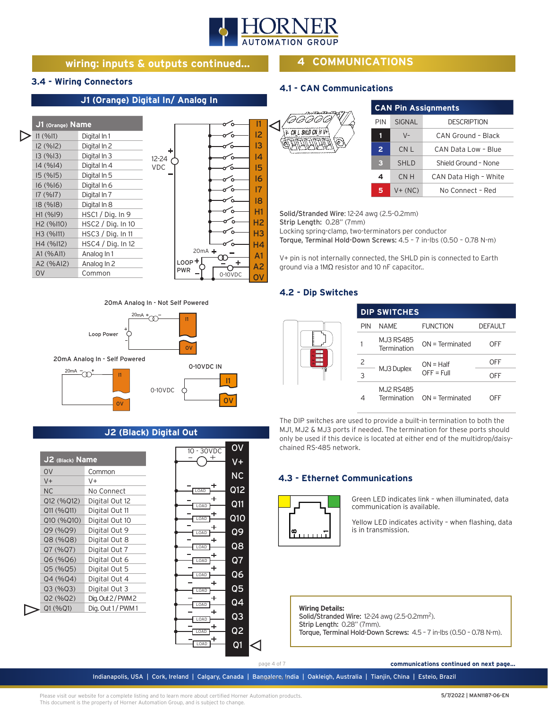

## **wiring: inputs & outputs continued...**

## **4 COMMUNICATIONS**

## **3.4 - Wiring Connectors**

D

## **J1 (Orange) Digital In/ Analog In**

| J1 (Orange) Name      |                   |                |          | 11             |
|-----------------------|-------------------|----------------|----------|----------------|
| 11 (%11)              | Digital In 1      |                |          | 12             |
| 12(%12)               | Digital In 2      |                |          | 13             |
| 13(%13)               | Digital In 3      | ٠<br>$12 - 24$ |          | 14             |
| 14(%14)               | Digital In 4      | <b>VDC</b>     |          | 15             |
| 15(%15)               | Digital In 5      |                |          | 16             |
| 16(%16)               | Digital In 6      |                |          | 17             |
| 17(%17)               | Digital In 7      |                |          |                |
| 18(%18)               | Digital In 8      |                |          | 18             |
| H1(%19)               | HSC1 / Dig. In 9  |                |          | Η1             |
| H <sub>2</sub> (%110) | HSC2 / Dig. In 10 |                |          | H <sub>2</sub> |
| H3 (%I11)             | HSC3 / Dig. In 11 |                |          | H <sub>3</sub> |
| H4 (%112)             | HSC4 / Diq. In 12 |                |          | H4             |
| A1 (% AII)            | Analog In 1       |                | $20mA +$ | A <sub>1</sub> |
| A2 (%AI2)             | Analog In 2       | $LOOP +$       |          | A2             |
| 0V                    | Common            | <b>PWR</b>     | 0-10VDC  |                |
|                       |                   |                |          |                |

## 20mA Analog In - Not Self Powered



## **J2 (Black) Digital Out**

| J2 (Black) Name |                    |
|-----------------|--------------------|
| 0 <sup>V</sup>  | Common             |
| $V +$           | V+                 |
| <b>NC</b>       | No Connect         |
| Q12 (%Q12)      | Digital Out 12     |
| Q11 (%Q11)      | Digital Out 11     |
| Q10 (%Q10)      | Digital Out 10     |
| Q9 (%Q9)        | Digital Out 9      |
| Q8 (%Q8)        | Digital Out 8      |
| Q7 (%Q7)        | Digital Out 7      |
| Q6(%Q6)         | Digital Out 6      |
| Q5 (%Q5)        | Digital Out 5      |
| Q4(%Q4)         | Digital Out 4      |
| Q3(%Q3)         | Digital Out 3      |
| Q2(%Q2)         | Dig. Out 2 / PWM 2 |
| Q1 (%Q1)        | Dig. Out 1/PWM1    |

| $10 - 30VDC$    | ov                       |  |
|-----------------|--------------------------|--|
| +               | V+                       |  |
|                 | $\overline{\textsf{NC}}$ |  |
| LOAD            | Q12                      |  |
| ł<br>OAD        | Q11                      |  |
| ۰<br>LOAD       | Q1O                      |  |
| ٠<br>LOAD       | Q9                       |  |
| ۰<br>LOAD       | Q8                       |  |
| ۰<br>OAD        | Q7                       |  |
| ٠<br><b>OAD</b> | $\overline{06}$          |  |
| ۰<br>LOAD       | Q5                       |  |
| Ł<br>OAD        | Q4                       |  |
| ۴<br>LOAD       | Q3                       |  |
| OAD             | Q <sub>2</sub>           |  |
| OAD             | Q1                       |  |

## **4.1 - CAN Communications**

| AG                  |  |
|---------------------|--|
| CN_L SHLD CN_H $V+$ |  |
|                     |  |

| <b>CAN Pin Assignments</b> |               |                       |  |
|----------------------------|---------------|-----------------------|--|
| PIN                        | <b>SIGNAL</b> | <b>DESCRIPTION</b>    |  |
| 1                          | $V -$         | CAN Ground - Black    |  |
| $\overline{2}$             | CN L          | CAN Data Low - Blue   |  |
| 3                          | <b>SHLD</b>   | Shield Ground - None  |  |
| 4                          | CN H          | CAN Data High - White |  |
| 5                          | $V + (NC)$    | No Connect - Red      |  |

Solid/Stranded Wire: 12-24 awg (2.5-0.2mm) Strip Length: 0.28" (7mm)

Locking spring-clamp, two-terminators per conductor

Torque, Terminal Hold-Down Screws: 4.5 – 7 in-lbs (0.50 – 0.78 N-m)

V+ pin is not internally connected, the SHLD pin is connected to Earth ground via a 1MΩ resistor and 10 nF capacitor..

## **4.2 - Dip Switches**

|  |     | <b>DIP SWITCHES</b>      |                             |                |
|--|-----|--------------------------|-----------------------------|----------------|
|  | PIN | <b>NAME</b>              | <b>FUNCTION</b>             | <b>DEFAULT</b> |
|  |     | MJ3 RS485<br>Termination | $ON = Terminated$           | OFF            |
|  | 2   | MJ3 Duplex               | $ON = Half$<br>$OFF = Full$ | OFF            |
|  | 3   |                          |                             | OFF            |
|  | 4   | <b>MJ2 RS485</b>         | Termination ON = Terminated | OFF            |

The DIP switches are used to provide a built-in termination to both the MJ1, MJ2 & MJ3 ports if needed. The termination for these ports should only be used if this device is located at either end of the multidrop/daisychained RS-485 network.

## **4.3 - Ethernet Communications**



Green LED indicates link – when illuminated, data communication is available.

Yellow LED indicates activity – when flashing, data is in transmission.

## **Wiring Details:**

Solid/Stranded Wire: 12-24 awg (2.5-0.2mm<sup>2</sup>). Strip Length: 0.28" (7mm). Torque, Terminal Hold-Down Screws: 4.5 – 7 in-lbs (0.50 – 0.78 N-m).

page 4 of 7

 **communications continued on next page...**

Indianapolis, USA | Cork, Ireland | Calgary, Canada | Bangalore, India | Oakleigh, Australia | Tianjin, China | Esteio, Brazil page 4 of 6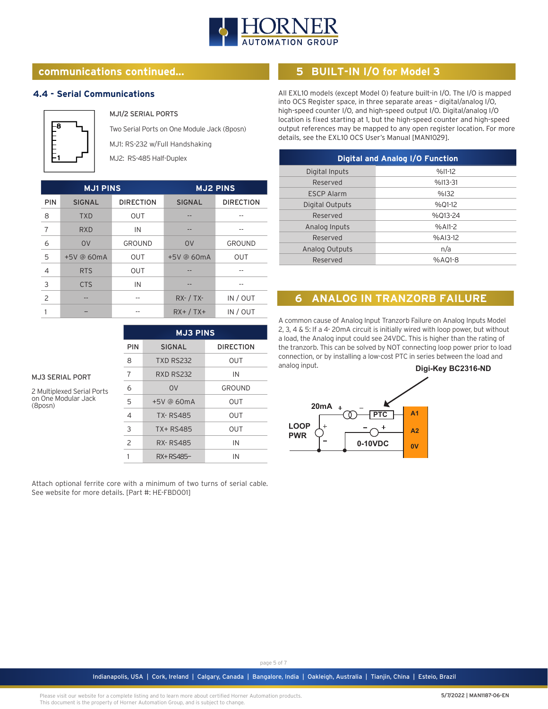

## **communications continued... 5 BUILT-IN I/O for Model 3**

#### **4.4 - Serial Communications**



MJ3 SERIAL PORT 2 Multiplexed Serial Ports on One Modular Jack

(8posn)

MJ1/2 SERIAL PORTS

Two Serial Ports on One Module Jack (8posn) MJ1: RS-232 w/Full Handshaking

MJ2: RS-485 Half-Duplex

|            | <b>MJ1 PINS</b> |                  | <b>MJ2 PINS</b> |                  |
|------------|-----------------|------------------|-----------------|------------------|
| <b>PIN</b> | <b>SIGNAL</b>   | <b>DIRECTION</b> | <b>SIGNAL</b>   | <b>DIRECTION</b> |
| 8          | <b>TXD</b>      | <b>OUT</b>       |                 |                  |
| 7          | <b>RXD</b>      | IN               |                 |                  |
| 6          | O <sub>V</sub>  | GROUND           | O <sub>V</sub>  | GROUND           |
| 5          | +5V @ 60mA      | <b>OUT</b>       | $+5V$ @ 60mA    | <b>OUT</b>       |
| 4          | <b>RTS</b>      | <b>OUT</b>       |                 |                  |
| 3          | <b>CTS</b>      | IN               |                 |                  |
| 2          |                 |                  | $RX - / TX -$   | IN / OUT         |
|            |                 |                  | $RX+$ / TX+     | IN / OUT         |

| <b>MJ3 PINS</b> |                  |                  |
|-----------------|------------------|------------------|
| PIN             | <b>SIGNAL</b>    | <b>DIRECTION</b> |
| 8               | <b>TXD RS232</b> | OUT              |
| 7               | <b>RXD RS232</b> | IN               |
| 6               | 0V               | <b>GROUND</b>    |
| 5               | $+5V$ @ 60mA     | OUT              |
| $\overline{4}$  | <b>TX-RS485</b>  | OUT              |
| 3               | TX+ RS485        | OUT              |
| 2               | <b>RX-RS485</b>  | IN               |
|                 | RX+RS485-        | IN               |

Attach optional ferrite core with a minimum of two turns of serial cable. See website for more details. [Part #: HE-FBD001]

All EXL10 models (except Model 0) feature built-in I/O. The I/O is mapped into OCS Register space, in three separate areas – digital/analog I/O, high-speed counter I/O, and high-speed output I/O. Digital/analog I/O location is fixed starting at 1, but the high-speed counter and high-speed output references may be mapped to any open register location. For more details, see the EXL10 OCS User's Manual [MAN1029].

| <b>Digital and Analog I/O Function</b> |           |  |
|----------------------------------------|-----------|--|
| Digital Inputs                         | $%11-12$  |  |
| Reserved                               | $%113-31$ |  |
| <b>FSCP Alarm</b>                      | %132      |  |
| Digital Outputs                        | %01-12    |  |
| Reserved                               | %013-24   |  |
| Analog Inputs                          | $%$ AI1-2 |  |
| Reserved                               | $%A13-12$ |  |
| <b>Analog Outputs</b>                  | n/a       |  |
| Reserved                               | $%AO1-8$  |  |

## **6 ANALOG IN TRANZORB FAILURE**

A common cause of Analog Input Tranzorb Failure on Analog Inputs Model 2, 3, 4 & 5: If a 4- 20mA circuit is initially wired with loop power, but without a load, the Analog input could see 24VDC. This is higher than the rating of the tranzorb. This can be solved by NOT connecting loop power prior to load connection, or by installing a low-cost PTC in series between the load and analog input. **Digi-Key BC2316-ND**



Indianapolis, USA | Cork, Ireland | Calgary, Canada | Bangalore, India | Oakleigh, Australia | Tianjin, China | Esteio, Brazil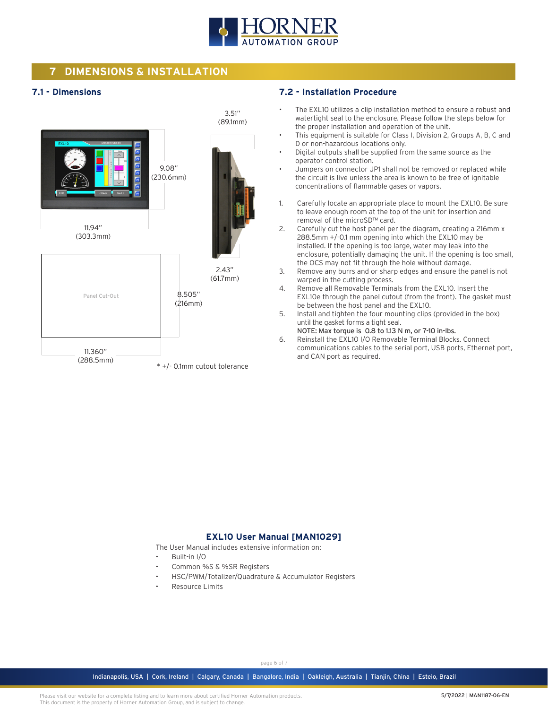

## **7 DIMENSIONS & INSTALLATION**

## **7.1 - Dimensions**



#### **7.2 - Installation Procedure**

- The EXL10 utilizes a clip installation method to ensure a robust and watertight seal to the enclosure. Please follow the steps below for the proper installation and operation of the unit.
- This equipment is suitable for Class I, Division 2, Groups A, B, C and D or non-hazardous locations only.
- Digital outputs shall be supplied from the same source as the operator control station.
- Jumpers on connector JP1 shall not be removed or replaced while the circuit is live unless the area is known to be free of ignitable concentrations of flammable gases or vapors.
- 1. Carefully locate an appropriate place to mount the EXL10. Be sure to leave enough room at the top of the unit for insertion and removal of the microSD™ card.
- 2. Carefully cut the host panel per the diagram, creating a 216mm x 288.5mm +/-0.1 mm opening into which the EXL10 may be installed. If the opening is too large, water may leak into the enclosure, potentially damaging the unit. If the opening is too small, the OCS may not fit through the hole without damage.
- 3. Remove any burrs and or sharp edges and ensure the panel is not warped in the cutting process.
- 4. Remove all Removable Terminals from the EXL10. Insert the EXL10e through the panel cutout (from the front). The gasket must be between the host panel and the EXL10.
- 5. Install and tighten the four mounting clips (provided in the box) until the gasket forms a tight seal.
- NOTE: Max torque is 0.8 to 1.13 N m, or 7-10 in-lbs. 6. Reinstall the EXL10 I/O Removable Terminal Blocks. Connect communications cables to the serial port, USB ports, Ethernet port, and CAN port as required.

## **EXL10 User Manual [MAN1029]**

The User Manual includes extensive information on:

- Built-in I/O
- Common %S & %SR Registers
- HSC/PWM/Totalizer/Quadrature & Accumulator Registers
- Resource Limits